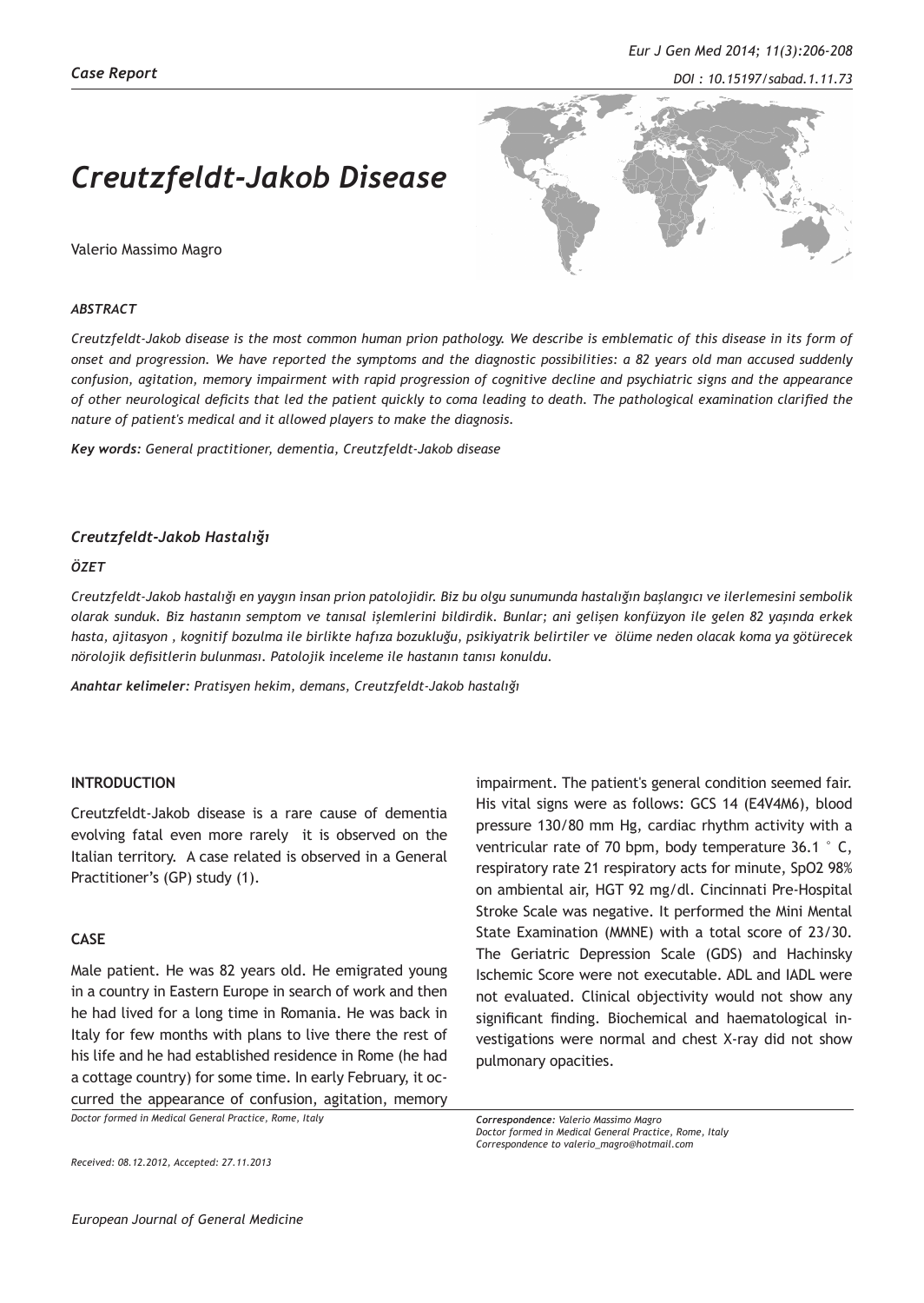*DOI : 10.15197/sabad.1.11.73*

# *Creutzfeldt-Jakob Disease*

Valerio Massimo Magro



## *ABSTRACT*

*Creutzfeldt-Jakob disease is the most common human prion pathology. We describe is emblematic of this disease in its form of onset and progression. We have reported the symptoms and the diagnostic possibilities: a 82 years old man accused suddenly confusion, agitation, memory impairment with rapid progression of cognitive decline and psychiatric signs and the appearance of other neurological deficits that led the patient quickly to coma leading to death. The pathological examination clarified the nature of patient's medical and it allowed players to make the diagnosis.*

*Key words: General practitioner, dementia, Creutzfeldt-Jakob disease*

## *Creutzfeldt-Jakob Hastalığı*

## *ÖZET*

*Creutzfeldt-Jakob hastalığı en yaygın insan prion patolojidir. Biz bu olgu sunumunda hastalığın başlangıcı ve ilerlemesini sembolik olarak sunduk. Biz hastanın semptom ve tanısal işlemlerini bildirdik. Bunlar; ani gelişen konfüzyon ile gelen 82 yaşında erkek hasta, ajitasyon , kognitif bozulma ile birlikte hafıza bozukluğu, psikiyatrik belirtiler ve ölüme neden olacak koma ya götürecek nörolojik defisitlerin bulunması. Patolojik inceleme ile hastanın tanısı konuldu.*

*Anahtar kelimeler: Pratisyen hekim, demans, Creutzfeldt-Jakob hastalığı*

# **INTRODUCTION**

Creutzfeldt-Jakob disease is a rare cause of dementia evolving fatal even more rarely it is observed on the Italian territory. A case related is observed in a General Practitioner's (GP) study (1).

# **CASE**

Male patient. He was 82 years old. He emigrated young in a country in Eastern Europe in search of work and then he had lived for a long time in Romania. He was back in Italy for few months with plans to live there the rest of his life and he had established residence in Rome (he had a cottage country) for some time. In early February, it occurred the appearance of confusion, agitation, memory

*Doctor formed in Medical General Practice, Rome, Italy*

*Received: 08.12.2012, Accepted: 27.11.2013*

impairment. The patient's general condition seemed fair. His vital signs were as follows: GCS 14 (E4V4M6), blood pressure 130/80 mm Hg, cardiac rhythm activity with a ventricular rate of 70 bpm, body temperature 36.1 ° C, respiratory rate 21 respiratory acts for minute, SpO2 98% on ambiental air, HGT 92 mg/dl. Cincinnati Pre-Hospital Stroke Scale was negative. It performed the Mini Mental State Examination (MMNE) with a total score of 23/30. The Geriatric Depression Scale (GDS) and Hachinsky Ischemic Score were not executable. ADL and IADL were not evaluated. Clinical objectivity would not show any significant finding. Biochemical and haematological investigations were normal and chest X-ray did not show pulmonary opacities.

*Correspondence: Valerio Massimo Magro Doctor formed in Medical General Practice, Rome, Italy Correspondence to valerio\_magro@hotmail.com*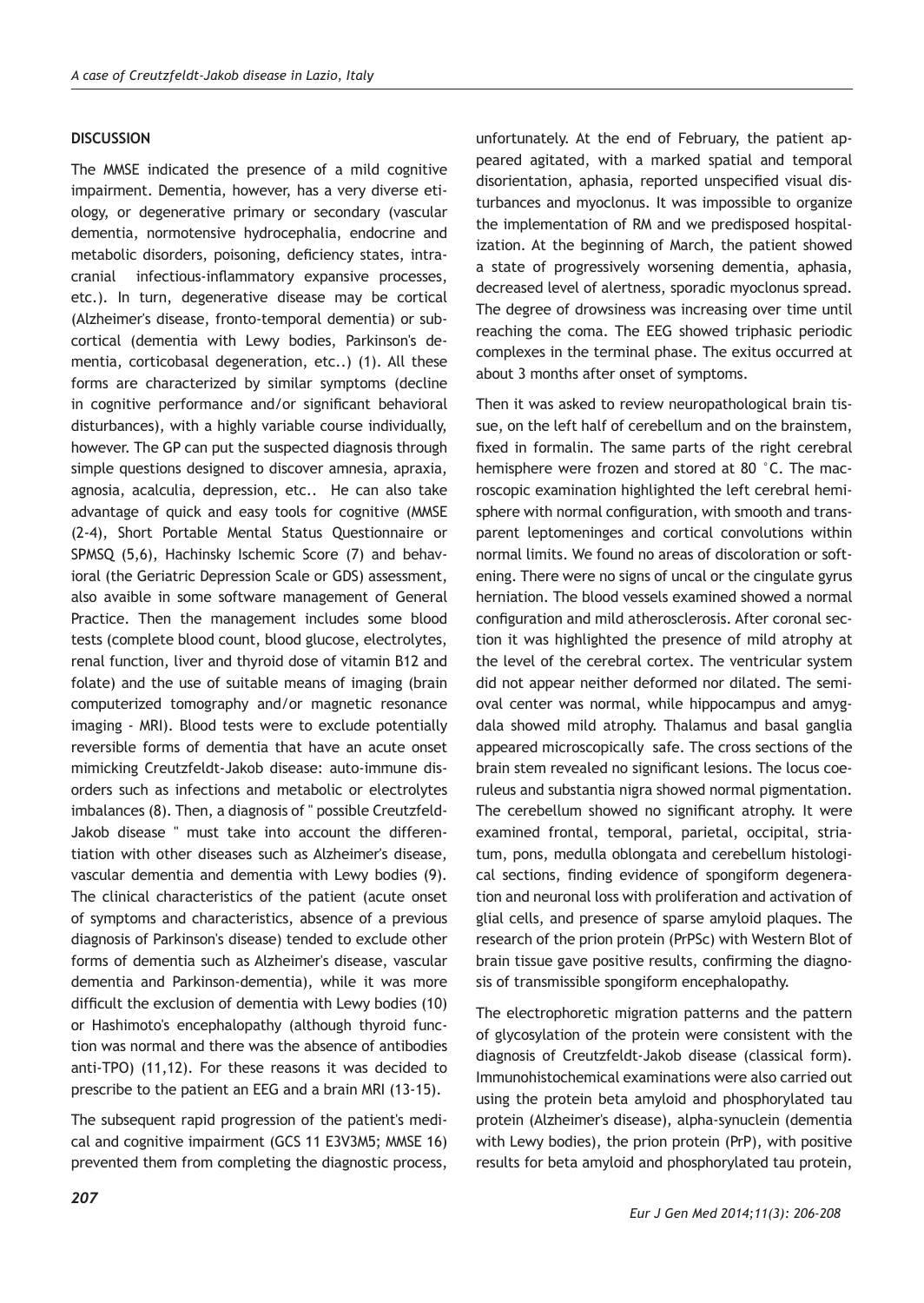## **DISCUSSION**

The MMSE indicated the presence of a mild cognitive impairment. Dementia, however, has a very diverse etiology, or degenerative primary or secondary (vascular dementia, normotensive hydrocephalia, endocrine and metabolic disorders, poisoning, deficiency states, intracranial infectious-inflammatory expansive processes, etc.). In turn, degenerative disease may be cortical (Alzheimer's disease, fronto-temporal dementia) or subcortical (dementia with Lewy bodies, Parkinson's dementia, corticobasal degeneration, etc..) (1). All these forms are characterized by similar symptoms (decline in cognitive performance and/or significant behavioral disturbances), with a highly variable course individually, however. The GP can put the suspected diagnosis through simple questions designed to discover amnesia, apraxia, agnosia, acalculia, depression, etc.. He can also take advantage of quick and easy tools for cognitive (MMSE (2-4), Short Portable Mental Status Questionnaire or SPMSQ (5,6), Hachinsky Ischemic Score (7) and behavioral (the Geriatric Depression Scale or GDS) assessment, also avaible in some software management of General Practice. Then the management includes some blood tests (complete blood count, blood glucose, electrolytes, renal function, liver and thyroid dose of vitamin B12 and folate) and the use of suitable means of imaging (brain computerized tomography and/or magnetic resonance imaging - MRI). Blood tests were to exclude potentially reversible forms of dementia that have an acute onset mimicking Creutzfeldt-Jakob disease: auto-immune disorders such as infections and metabolic or electrolytes imbalances (8). Then, a diagnosis of " possible Creutzfeld-Jakob disease " must take into account the differentiation with other diseases such as Alzheimer's disease, vascular dementia and dementia with Lewy bodies (9). The clinical characteristics of the patient (acute onset of symptoms and characteristics, absence of a previous diagnosis of Parkinson's disease) tended to exclude other forms of dementia such as Alzheimer's disease, vascular dementia and Parkinson-dementia), while it was more difficult the exclusion of dementia with Lewy bodies (10) or Hashimoto's encephalopathy (although thyroid function was normal and there was the absence of antibodies anti-TPO) (11,12). For these reasons it was decided to prescribe to the patient an EEG and a brain MRI (13-15).

The subsequent rapid progression of the patient's medical and cognitive impairment (GCS 11 E3V3M5; MMSE 16) prevented them from completing the diagnostic process,

unfortunately. At the end of February, the patient appeared agitated, with a marked spatial and temporal disorientation, aphasia, reported unspecified visual disturbances and myoclonus. It was impossible to organize the implementation of RM and we predisposed hospitalization. At the beginning of March, the patient showed a state of progressively worsening dementia, aphasia, decreased level of alertness, sporadic myoclonus spread. The degree of drowsiness was increasing over time until reaching the coma. The EEG showed triphasic periodic complexes in the terminal phase. The exitus occurred at about 3 months after onset of symptoms.

Then it was asked to review neuropathological brain tissue, on the left half of cerebellum and on the brainstem, fixed in formalin. The same parts of the right cerebral hemisphere were frozen and stored at 80 °C. The macroscopic examination highlighted the left cerebral hemisphere with normal configuration, with smooth and transparent leptomeninges and cortical convolutions within normal limits. We found no areas of discoloration or softening. There were no signs of uncal or the cingulate gyrus herniation. The blood vessels examined showed a normal configuration and mild atherosclerosis. After coronal section it was highlighted the presence of mild atrophy at the level of the cerebral cortex. The ventricular system did not appear neither deformed nor dilated. The semioval center was normal, while hippocampus and amygdala showed mild atrophy. Thalamus and basal ganglia appeared microscopically safe. The cross sections of the brain stem revealed no significant lesions. The locus coeruleus and substantia nigra showed normal pigmentation. The cerebellum showed no significant atrophy. It were examined frontal, temporal, parietal, occipital, striatum, pons, medulla oblongata and cerebellum histological sections, finding evidence of spongiform degeneration and neuronal loss with proliferation and activation of glial cells, and presence of sparse amyloid plaques. The research of the prion protein (PrPSc) with Western Blot of brain tissue gave positive results, confirming the diagnosis of transmissible spongiform encephalopathy.

The electrophoretic migration patterns and the pattern of glycosylation of the protein were consistent with the diagnosis of Creutzfeldt-Jakob disease (classical form). Immunohistochemical examinations were also carried out using the protein beta amyloid and phosphorylated tau protein (Alzheimer's disease), alpha-synuclein (dementia with Lewy bodies), the prion protein (PrP), with positive results for beta amyloid and phosphorylated tau protein,